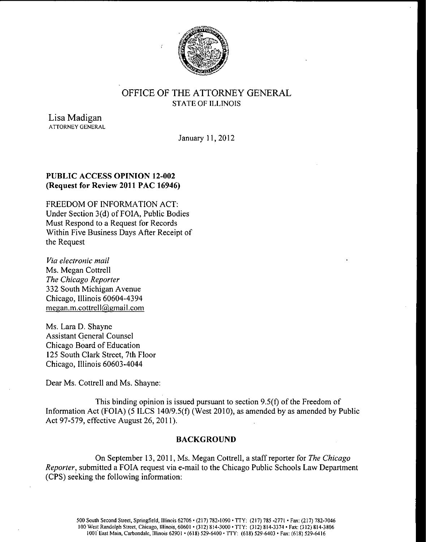

# OFFICE OF THE ATTORNEY GENERAL STATE OF ILLINOIS

Lisa Madigan ATTORNEY GENERAL

January 11, 2012

## PUBLIC ACCESS OPINION 12-002 Request for Review 2011 PAC 16946)

FREEDOM OF INFORMATION ACT: Under Section 3(d) of FOIA, Public Bodies Must Respond to a Request for Records Within Five Business Days After Receipt of the Request

Via electronic mail Ms. Megan Cottrell The Chicago Reporter 332 South Michigan Avenue Chicago, Illinois 60604-4394 megan.m.cottrell@gmail. com

Ms. Lara D. Shayne Assistant General Counsel Chicago Board of Education 125 South Clark Street, 7th Floor Chicago, Illinois 60603-4044

Dear Ms. Cottrell and Ms. Shayne:

This binding opinion is issued pursuant to section  $9.5(f)$  of the Freedom of Information Act (FOIA) (5 ILCS 140/9.5(f) (West 2010), as amended by as amended by Public Act 97-579, effective August 26, 2011).

### BACKGROUND

On September 13, 2011, Ms. Megan Cottrell, a staff reporter for The Chicago Reporter, submitted a FOIA request via e- mail to the Chicago Public Schools Law Department CPS) seeking the following information: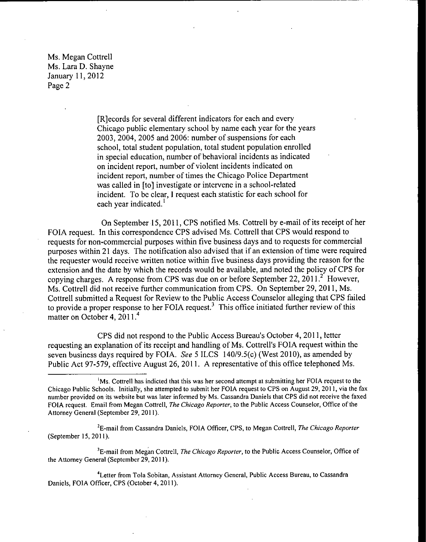> [R] ecords for several different indicators for each and every Chicago public elementary school by name each year for the years 2003, 2004, 2005 and 2006: number of suspensions for each school, total student population, total student population enrolled in special education, number of behavioral incidents as indicated on incident report, number of violent incidents indicated on incident report, number of times the Chicago Police Department was called in [to] investigate or intervene in a school-related incident. To be clear, I request each statistic for each school for each year indicated.'

On September 15, 2011, CPS notified Ms. Cottrell by e- mail of its receipt of her FOIA request. In this correspondence CPS advised Ms. Cottrell that CPS would respond to requests for non-commercial purposes within five business days and to requests for commercial purposes within <sup>21</sup> days. The notification also advised that if an extension of time were required the requester would receive written notice within five business days providing the reason for the extension and the date by which the records would be available, and noted the policy of CPS for copying charges. A response from CPS was due on or before September 22, 2011.<sup>2</sup> However, Ms. Cottrell did not receive further communication from CPS. On September 29, 2011, Ms. Cottrell submitted a Request for Review to the Public Access Counselor alleging that CPS failed to provide a proper response to her FOIA request.<sup>3</sup> This office initiated further review of this matter on October 4, 2011.<sup>4</sup>

CPS did not respond to the Public Access Bureau's October 4, 2011, letter requesting an explanation of its receipt and handling of Ms. Cottrell's FOIA request within the seven business days required by FOIA. See 5 ILCS  $140/9.5(c)$  (West 2010), as amended by Public Act 97-579, effective August 26, 2011. A representative of this office telephoned Ms.

<sup>2</sup>E-mail from Cassandra Daniels, FOIA Officer, CPS, to Megan Cottrell, *The Chicago Reporter* September 15, 2011).

<sup>3</sup>E-mail from Megan Cottrell, The Chicago Reporter, to the Public Access Counselor, Office of the Attorney General (September 29, 2011).

<sup>4</sup> Letter from Tola Sobitan, Assistant Attorney General, Public Access Bureau, to Cassandra Daniels, FOIA Officer, CPS (October 4, 2011).

<sup>&</sup>lt;sup>1</sup>Ms. Cottrell has indicted that this was her second attempt at submitting her FOIA request to the Chicago Public Schools. Initially, she attempted to submit her FOIA request to CPS on August 29, 2011, via the fax number provided on its website but was later informed by Ms. Cassandra Daniels that CPS did not receive the faxed FOIA request. Email from Megan Cottrell, The Chicago Reporter, to the Public Access Counselor, Office of the Attorney General (September 29, 2011).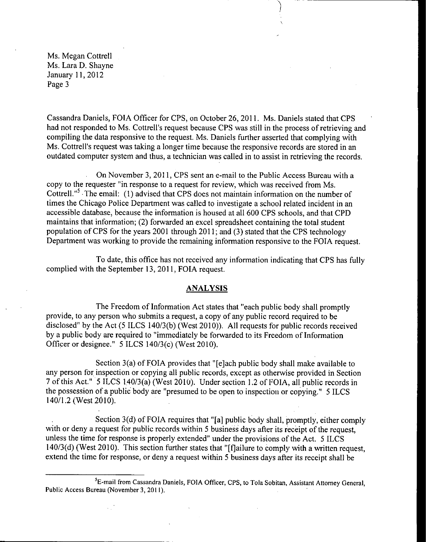Cassandra Daniels, FOIA Officer for CPS, on October 26, 2011. Ms. Daniels stated that CPS • had not responded to Ms. Cottrell's request because CPS was still in the process of retrieving and compiling the data responsive to the request. Ms. Daniels further asserted that complying with Ms. Cottrell's request was taking a longer time because the responsive records are stored in an outdated computer system and thus, a technician was called in to assist in retrieving the records.

On November 3, 2011, CPS sent an e- mail to the Public Access Bureau with a copy to the requester "in response to a request for review, which was received from Ms. Cottrell."<sup>3</sup> The email: (1) advised that CPS does not maintain information on the number of times the Chicago Police Department was called to investigate a school related incident in an accessible database, because the information is housed at all 600 CPS schools, and that CPD maintains that information; (2) forwarded an excel spreadsheet containing the total student population of CPS for the years 2001 through 2011; and (3) stated that the CPS technology Department was working to provide the remaining information responsive to the FOIA request.

To date, this office has not received any information indicating that CPS has fully complied with the September 13, 2011, FOIA request.

#### ANALYSIS

The Freedom of Information Act states that "each public body shall promptly provide, to any person who submits <sup>a</sup> request, a copy of any public record required to be disclosed" by the Act (5 ILCS 140/3(b) (West 2010)). All requests for public records received by <sup>a</sup> public body are required to " immediately be forwarded to its Freedom of Information Officer or designee."  $5$  ILCS 140/3(c) (West 2010).

Section  $3(a)$  of FOIA provides that "[e] ach public body shall make available to any person for inspection or copying all public records, except as otherwise provided in Section 7 of this Act." 5 ILCS 140/3(a) (West 2010). Under section 1.2 of FOIA, all public records in the possession of <sup>a</sup> public body are " presumed to be open to inspection or copying." 5 ILCS  $140/1.2$  (West 2010).

Section  $3(d)$  of FOIA requires that "[a] public body shall, promptly, either comply with or deny <sup>a</sup> request for public records within <sup>5</sup> business days after its receipt of the request, unless the time for response is properly extended" under the provisions of the Act. 5 ILCS 140/3(d) (West 2010). This section further states that "[f]ailure to comply with a written request, extend the time for response, or deny a request within 5 business days after its receipt shall be

<sup>&</sup>lt;sup>5</sup>E-mail from Cassandra Daniels, FOIA Officer, CPS, to Tola Sobitan, Assistant Attorney General, Public Access Bureau( November 3, 2011).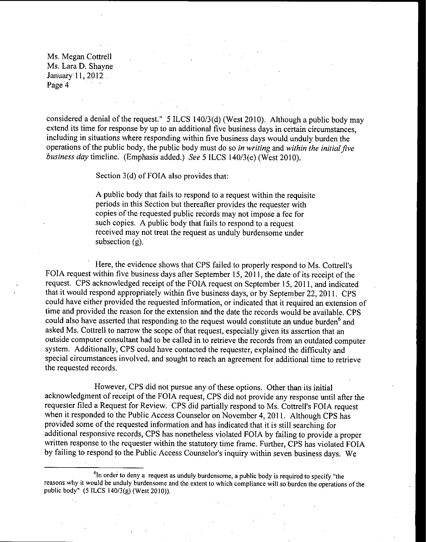considered a denial of the request."  $5$  ILCS 140/3(d) (West 2010). Although a public body may extend its time for response by up to an additional five business days in certain circumstances, including in situations where responding within five business days would unduly burden the operations of the public body, the public body must do so in writing and within the initial five business day timeline. (Emphasis added.) See 5 ILCS  $140/3$ (e) (West 2010).

Section  $3(d)$  of FOIA also provides that:

A public body that fails to respond to a request within the requisite periods in this Section but thereafter provides the requester with copies of the requested public records may not impose <sup>a</sup> fee for such copies. A public body that fails to respond to <sup>a</sup> request received may not treat the request as unduly burdensome under subsection  $(g)$ .

Here, the evidence shows that CPS failed to properly respond to Ms. Cottrell's FOIA request within five business days after September 15, 2011, the date of its receipt of the request. CPS acknowledged receipt of the FOIA request on September 15, 2011, and indicated that it would respond appropriately within five business days, or by September 22, 2011. CPS could have either provided the requested information, or indicated that it required an extension of time and provided the reason for the extension and the date the records would be available. CPS could also have asserted that responding to the request would constitute an undue burden<sup>6</sup> and asked Ms. Cottrell to narrow the scope of that request, especially given its assertion that an outside computer consultant had to be called in to retrieve the records from an outdated computer system. Additionally, CPS could have contacted the requester, explained the difficulty and special circumstances involved, and sought to reach an agreement for additional time to retrieve the requested records.

However, CPS did not pursue any of these options. Other than its initial acknowledgment of receipt of the FOIA request, CPS did not provide any response until after the requester filed a Request for Review. CPS did partially respond to Ms. Cottrell's FOIA request when it responded to the Public Access Counselor on November 4, 2011. Although CPS has provided some of the requested information and has indicated that it is still searching for additional responsive records, CPS has nonetheless violated FOIA by failing to provide a proper written response to the requester within the statutory time frame. Further, CPS has violated FOIA by failing to respond to the Public Access Counselor's inquiry within seven business days. We

 $<sup>6</sup>$ In order to deny a request as unduly burdensome, a public body is required to specify "the</sup> reasons why it would be unduly burdensome and the extent to which compliance will so burden the operations of the public body"  $(5$  ILCS  $140/3(g)$  (West 2010)).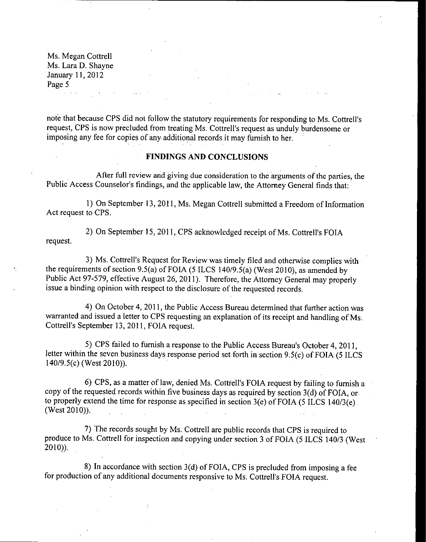Ms. Megan Cottrell Ms. Lara D. Shayne January 11, 2012 Page 5 and the state of the state of the

note that because CPS did not follow the statutory requirements for responding to Ms. Cottrell's request, CPS is now precluded from treating Ms. Cottrell's request as unduly burdensome or imposing any fee for copies of any additional records it may furnish to her.

#### FINDINGS AND CONCLUSIONS

After full review and giving due consideration to the arguments of the parties, the Public Access Counselor's findings, and the applicable law, the Attorney General finds that:

1) On September 13, 2011, Ms. Megan Cottrell submitted <sup>a</sup> Freedom of Information Act request to CPS.

2) On September 15, 2011, CPS acknowledged receipt of Ms. Cottrell's FOIA request.

3) Ms. Cottrell's Request for Review was timely filed and otherwise complies with the requirements of section 9.5(a) of FOIA (5 ILCS 140/9.5(a) (West 2010), as amended by Public Act 97-579, effective August 26, 2011). Therefore, the Attorney General may properly issue <sup>a</sup> binding opinion with respect to the disclosure of the requested records.

4) On October 4, 2011, the Public Access Bureau determined that further action was warranted and issued <sup>a</sup> letter to CPS requesting an explanation of its receipt and handling of Ms. Cottrell's September 13, 2011, FOIA request.

5) CPS failed to furnish a response to the Public Access Bureau's October 4, 2011, letter within the seven business days response period set forth in section 9.5(c) of FOIA (5 ILCS  $140/9.5(c)$  (West 2010)).

6) CPS, as <sup>a</sup> matter of law, denied Ms. Cottrell' <sup>s</sup> FOIA request by failing to furnish <sup>a</sup> copy of the requested records within five business days as required by section  $3(d)$  of FOIA, or to properly extend the time for response as specified in section 3(e) of FOIA (5 ILCS 140/3(e). West 2010)).

7) The records sought by Ms. Cottrell are public records that CPS is required to produce to Ms. Cottrell for inspection and copying under section 3 of FOIA (5 ILCS 140/3 (West 2010)).

8) In accordance with section  $3(d)$  of FOIA, CPS is precluded from imposing a fee for production of any additional documents responsive to Ms. Cottrell's FOIA request.